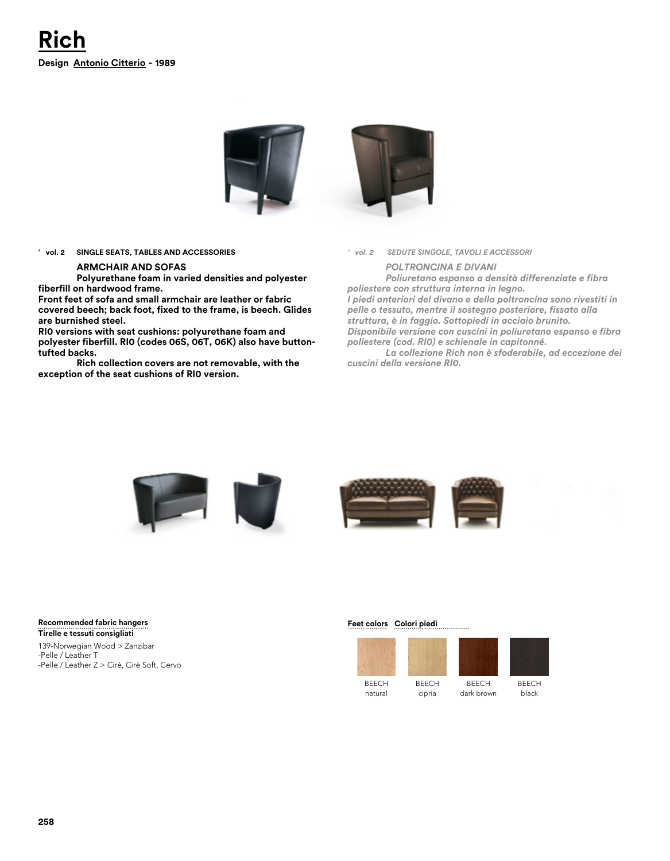

#### **' vol. 2 SINGLE SEATS, TABLES AND ACCESSORIES**

#### **ARMCHAIR AND SOFAS**

**Polyurethane foam in varied densities and polyester fiberfill on hardwood frame.**

**Front feet of sofa and small armchair are leather or fabric covered beech; back foot, fixed to the frame, is beech. Glides are burnished steel.**

**RI0 versions with seat cushions: polyurethane foam and polyester fiberfill. RI0 (codes 06S, 06T, 06K) also have buttontufted backs.**

**Rich collection covers are not removable, with the exception of the seat cushions of RI0 version.**

*' vol. 2 SEDUTE SINGOLE, TAVOLI E ACCESSORI*

*POLTRONCINA E DIVANI Poliuretano espanso a densità differenziate e fibra poliestere con struttura interna in legno.*

*I piedi anteriori del divano e della poltroncina sono rivestiti in pelle o tessuto, mentre il sostegno posteriore, fissato alla struttura, è in faggio. Sottopiedi in acciaio brunito. Disponibile versione con cuscini in poliuretano espanso e fibra poliestere (cod. RI0) e schienale in capitonné.*

*La collezione Rich non è sfoderabile, ad eccezione dei cuscini della versione RI0.*







**Tirelle e tessuti consigliati Recommended fabric hangers Feet colors Colori piedi**

139-Norwegian Wood > Zanzibar -Pelle / Leather T -Pelle / Leather Z > Ciré, Ciré Soft, Cervo